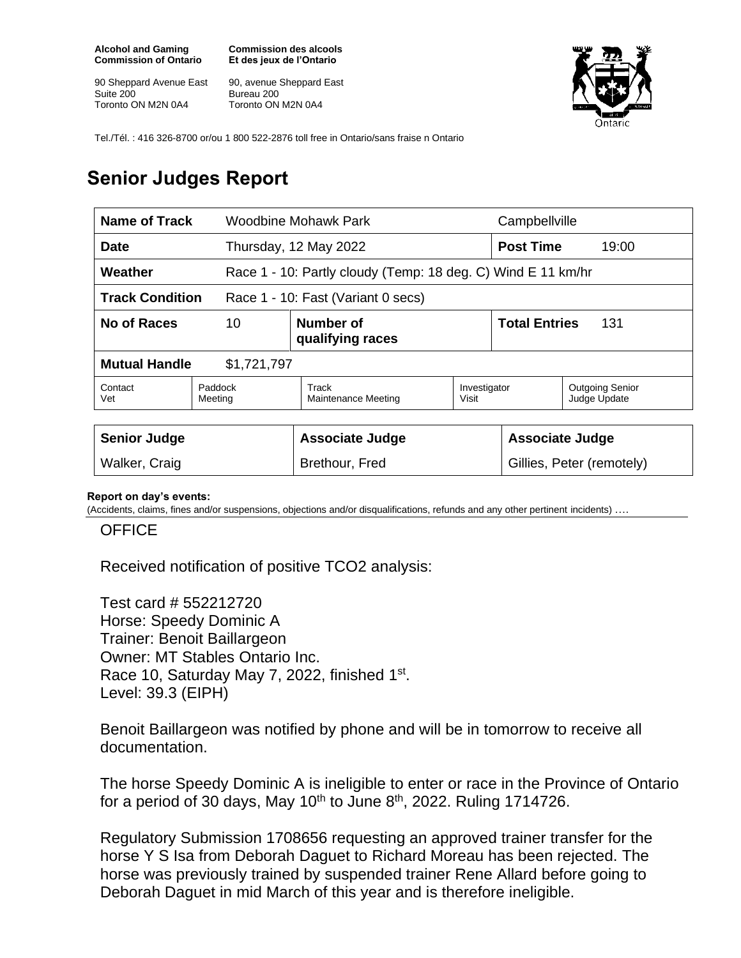**Alcohol and Gaming Commission of Ontario**

90 Sheppard Avenue East Suite 200 Toronto ON M2N 0A4

**Commission des alcools Et des jeux de l'Ontario**

90, avenue Sheppard East Bureau 200 Toronto ON M2N 0A4



Tel./Tél. : 416 326-8700 or/ou 1 800 522-2876 toll free in Ontario/sans fraise n Ontario

# **Senior Judges Report**

| Name of Track                                                |                                     | Woodbine Mohawk Park                                         |                       | Campbellville               |                                        |
|--------------------------------------------------------------|-------------------------------------|--------------------------------------------------------------|-----------------------|-----------------------------|----------------------------------------|
| Date                                                         |                                     | Thursday, 12 May 2022                                        |                       | <b>Post Time</b>            | 19:00                                  |
| Weather                                                      |                                     | Race 1 - 10: Partly cloudy (Temp: 18 deg. C) Wind E 11 km/hr |                       |                             |                                        |
| <b>Track Condition</b><br>Race 1 - 10: Fast (Variant 0 secs) |                                     |                                                              |                       |                             |                                        |
| No of Races                                                  | 10<br>Number of<br>qualifying races |                                                              |                       | <b>Total Entries</b><br>131 |                                        |
| <b>Mutual Handle</b><br>\$1,721,797                          |                                     |                                                              |                       |                             |                                        |
| Contact<br>Vet                                               | Paddock<br>Meeting                  | Track<br>Maintenance Meeting                                 | Investigator<br>Visit |                             | <b>Outgoing Senior</b><br>Judge Update |
|                                                              |                                     |                                                              |                       |                             |                                        |
| <b>Senior Judge</b>                                          |                                     | <b>Associate Judge</b>                                       |                       | <b>Associate Judge</b>      |                                        |
| Walker, Craig                                                |                                     | Brethour, Fred                                               |                       | Gillies, Peter (remotely)   |                                        |

#### **Report on day's events:**

(Accidents, claims, fines and/or suspensions, objections and/or disqualifications, refunds and any other pertinent incidents) ….

#### **OFFICE**

Received notification of positive TCO2 analysis:

Test card # 552212720 Horse: Speedy Dominic A Trainer: Benoit Baillargeon Owner: MT Stables Ontario Inc. Race 10, Saturday May 7, 2022, finished 1<sup>st</sup>. Level: 39.3 (EIPH)

Benoit Baillargeon was notified by phone and will be in tomorrow to receive all documentation.

The horse Speedy Dominic A is ineligible to enter or race in the Province of Ontario for a period of 30 days, May 10<sup>th</sup> to June 8<sup>th</sup>, 2022. Ruling 1714726.

Regulatory Submission 1708656 requesting an approved trainer transfer for the horse Y S Isa from Deborah Daguet to Richard Moreau has been rejected. The horse was previously trained by suspended trainer Rene Allard before going to Deborah Daguet in mid March of this year and is therefore ineligible.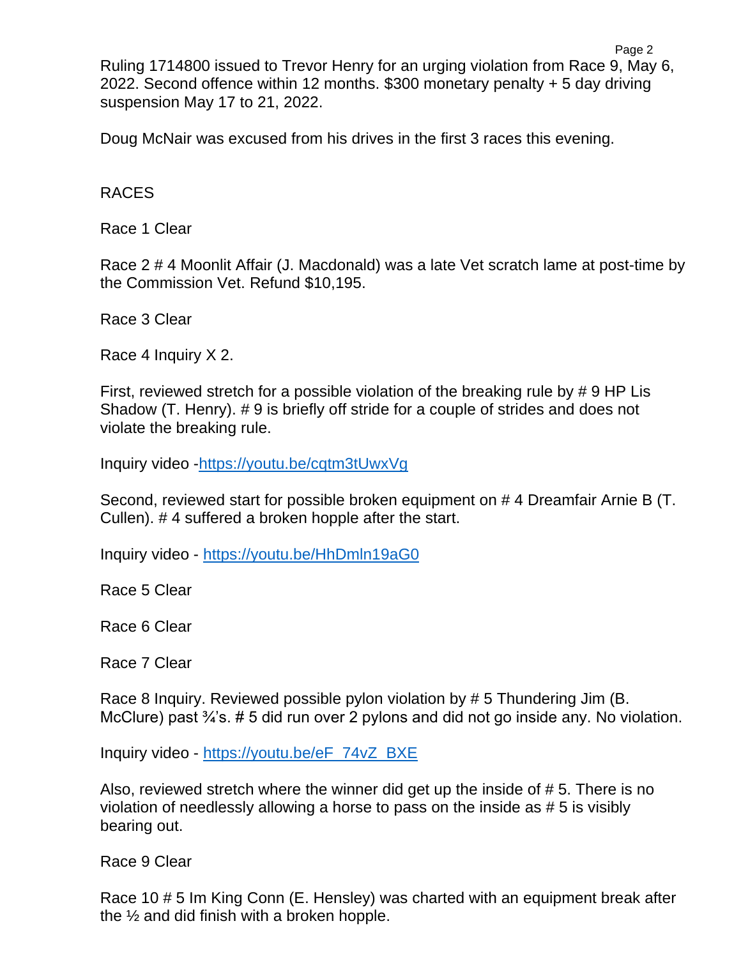Ruling 1714800 issued to Trevor Henry for an urging violation from Race 9, May 6, 2022. Second offence within 12 months. \$300 monetary penalty + 5 day driving suspension May 17 to 21, 2022.

Doug McNair was excused from his drives in the first 3 races this evening.

### RACES

Race 1 Clear

Race 2 # 4 Moonlit Affair (J. Macdonald) was a late Vet scratch lame at post-time by the Commission Vet. Refund \$10,195.

Race 3 Clear

Race 4 Inquiry X 2.

First, reviewed stretch for a possible violation of the breaking rule by # 9 HP Lis Shadow (T. Henry). # 9 is briefly off stride for a couple of strides and does not violate the breaking rule.

Inquiry video [-https://youtu.be/cqtm3tUwxVg](https://youtu.be/cqtm3tUwxVg)

Second, reviewed start for possible broken equipment on # 4 Dreamfair Arnie B (T. Cullen). # 4 suffered a broken hopple after the start.

Inquiry video - <https://youtu.be/HhDmln19aG0>

Race 5 Clear

Race 6 Clear

Race 7 Clear

Race 8 Inquiry. Reviewed possible pylon violation by # 5 Thundering Jim (B. McClure) past  $\frac{3}{4}$ 's. # 5 did run over 2 pylons and did not go inside any. No violation.

Inquiry video - [https://youtu.be/eF\\_74vZ\\_BXE](https://youtu.be/eF_74vZ_BXE)

Also, reviewed stretch where the winner did get up the inside of # 5. There is no violation of needlessly allowing a horse to pass on the inside as # 5 is visibly bearing out.

Race 9 Clear

Race 10 # 5 Im King Conn (E. Hensley) was charted with an equipment break after the  $\frac{1}{2}$  and did finish with a broken hopple.